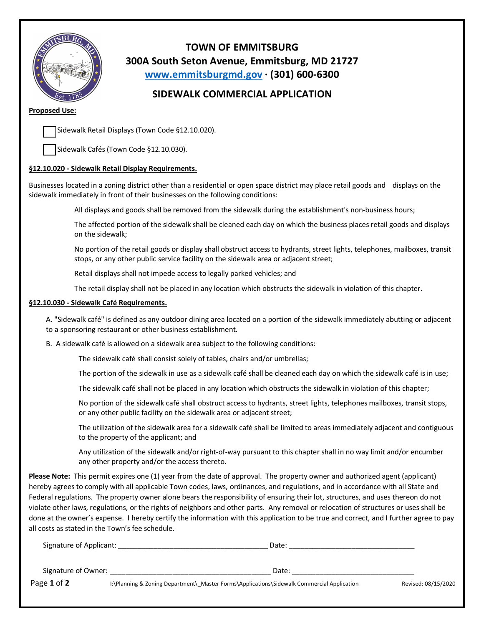

**TOWN OF EMMITSBURG 300A South Seton Avenue, Emmitsburg, MD 21727 www.emmitsburgmd.gov · (301) 600-6300**

## **SIDEWALK COMMERCIAL APPLICATION**

## **Proposed Use:**

Sidewalk Retail Displays (Town Code §12.10.020).

Sidewalk Cafés (Town Code §12.10.030).

## **§12.10.020 - Sidewalk Retail Display Requirements.**

Businesses located in a zoning district other than a residential or open space district may place retail goods and displays on the sidewalk immediately in front of their businesses on the following conditions:

All displays and goods shall be removed from the sidewalk during the establishment's non-business hours;

 The affected portion of the sidewalk shall be cleaned each day on which the business places retail goods and displays on the sidewalk;

 No portion of the retail goods or display shall obstruct access to hydrants, street lights, telephones, mailboxes, transit stops, or any other public service facility on the sidewalk area or adjacent street;

Retail displays shall not impede access to legally parked vehicles; and

The retail display shall not be placed in any location which obstructs the sidewalk in violation of this chapter.

## **§12.10.030 - Sidewalk Café Requirements.**

A. "Sidewalk café" is defined as any outdoor dining area located on a portion of the sidewalk immediately abutting or adjacent to a sponsoring restaurant or other business establishment.

B. A sidewalk café is allowed on a sidewalk area subject to the following conditions:

The sidewalk café shall consist solely of tables, chairs and/or umbrellas;

The portion of the sidewalk in use as a sidewalk café shall be cleaned each day on which the sidewalk café is in use;

The sidewalk café shall not be placed in any location which obstructs the sidewalk in violation of this chapter;

 No portion of the sidewalk café shall obstruct access to hydrants, street lights, telephones mailboxes, transit stops, or any other public facility on the sidewalk area or adjacent street;

 The utilization of the sidewalk area for a sidewalk café shall be limited to areas immediately adjacent and contiguous to the property of the applicant; and

 Any utilization of the sidewalk and/or right-of-way pursuant to this chapter shall in no way limit and/or encumber any other property and/or the access thereto.

**Please Note:** This permit expires one (1) year from the date of approval. The property owner and authorized agent (applicant) hereby agrees to comply with all applicable Town codes, laws, ordinances, and regulations, and in accordance with all State and Federal regulations. The property owner alone bears the responsibility of ensuring their lot, structures, and uses thereon do not violate other laws, regulations, or the rights of neighbors and other parts. Any removal or relocation of structures or uses shall be done at the owner's expense. I hereby certify the information with this application to be true and correct, and I further agree to pay all costs as stated in the Town's fee schedule.

| Signature of Applicant: | Date:                                                                                      |                     |
|-------------------------|--------------------------------------------------------------------------------------------|---------------------|
| Signature of Owner:     | Date:                                                                                      |                     |
| Page 1 of 2             | I:\Planning & Zoning Department\ Master Forms\Applications\Sidewalk Commercial Application | Revised: 08/15/2020 |